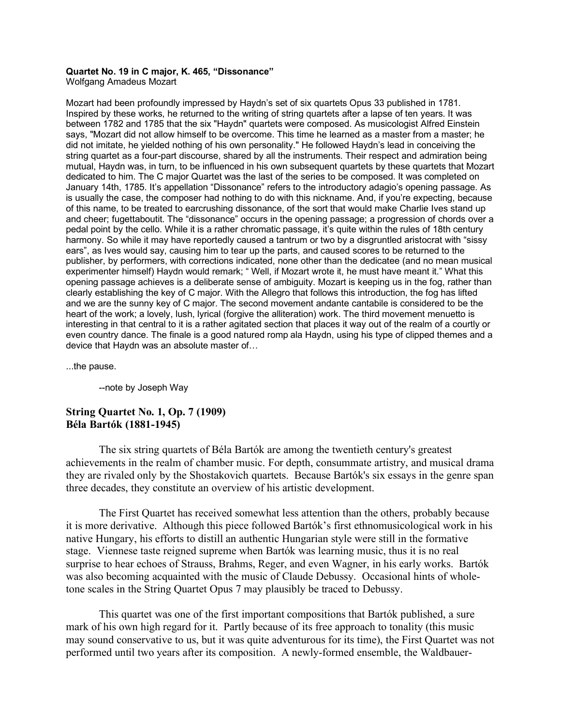## **Quartet No. 19 in C major, K. 465, "Dissonance"** Wolfgang Amadeus Mozart

Mozart had been profoundly impressed by Haydn's set of six quartets Opus 33 published in 1781. Inspired by these works, he returned to the writing of string quartets after a lapse of ten years. It was between 1782 and 1785 that the six "Haydn" quartets were composed. As musicologist Alfred Einstein says, "Mozart did not allow himself to be overcome. This time he learned as a master from a master; he did not imitate, he yielded nothing of his own personality." He followed Haydn's lead in conceiving the string quartet as a four-part discourse, shared by all the instruments. Their respect and admiration being mutual, Haydn was, in turn, to be influenced in his own subsequent quartets by these quartets that Mozart dedicated to him. The C major Quartet was the last of the series to be composed. It was completed on January 14th, 1785. It's appellation "Dissonance" refers to the introductory adagio's opening passage. As is usually the case, the composer had nothing to do with this nickname. And, if you're expecting, because of this name, to be treated to earcrushing dissonance, of the sort that would make Charlie Ives stand up and cheer; fugettaboutit. The "dissonance" occurs in the opening passage; a progression of chords over a pedal point by the cello. While it is a rather chromatic passage, it's quite within the rules of 18th century harmony. So while it may have reportedly caused a tantrum or two by a disgruntled aristocrat with "sissy ears", as Ives would say, causing him to tear up the parts, and caused scores to be returned to the publisher, by performers, with corrections indicated, none other than the dedicatee (and no mean musical experimenter himself) Haydn would remark; "Well, if Mozart wrote it, he must have meant it." What this opening passage achieves is a deliberate sense of ambiguity. Mozart is keeping us in the fog, rather than clearly establishing the key of C major. With the Allegro that follows this introduction, the fog has lifted and we are the sunny key of C major. The second movement andante cantabile is considered to be the heart of the work; a lovely, lush, lyrical (forgive the alliteration) work. The third movement menuetto is interesting in that central to it is a rather agitated section that places it way out of the realm of a courtly or even country dance. The finale is a good natured romp ala Haydn, using his type of clipped themes and a device that Haydn was an absolute master of…

...the pause.

--note by Joseph Way

## **String Quartet No. 1, Op. 7 (1909) Béla Bartók (1881-1945)**

The six string quartets of Béla Bartók are among the twentieth century's greatest achievements in the realm of chamber music. For depth, consummate artistry, and musical drama they are rivaled only by the Shostakovich quartets. Because Bartók's six essays in the genre span three decades, they constitute an overview of his artistic development.

The First Quartet has received somewhat less attention than the others, probably because it is more derivative. Although this piece followed Bartók's first ethnomusicological work in his native Hungary, his efforts to distill an authentic Hungarian style were still in the formative stage. Viennese taste reigned supreme when Bartók was learning music, thus it is no real surprise to hear echoes of Strauss, Brahms, Reger, and even Wagner, in his early works. Bartók was also becoming acquainted with the music of Claude Debussy. Occasional hints of wholetone scales in the String Quartet Opus 7 may plausibly be traced to Debussy.

This quartet was one of the first important compositions that Bartók published, a sure mark of his own high regard for it. Partly because of its free approach to tonality (this music may sound conservative to us, but it was quite adventurous for its time), the First Quartet was not performed until two years after its composition. A newly-formed ensemble, the Waldbauer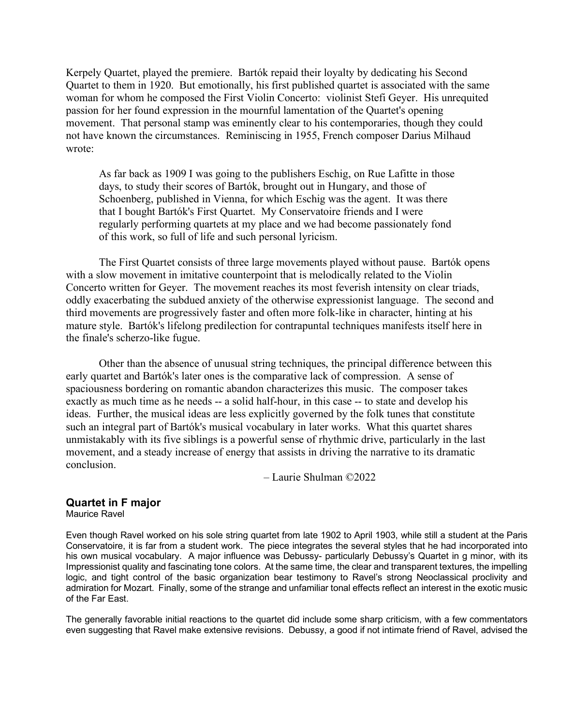Kerpely Quartet, played the premiere. Bartók repaid their loyalty by dedicating his Second Quartet to them in 1920. But emotionally, his first published quartet is associated with the same woman for whom he composed the First Violin Concerto: violinist Stefi Geyer. His unrequited passion for her found expression in the mournful lamentation of the Quartet's opening movement. That personal stamp was eminently clear to his contemporaries, though they could not have known the circumstances. Reminiscing in 1955, French composer Darius Milhaud wrote:

As far back as 1909 I was going to the publishers Eschig, on Rue Lafitte in those days, to study their scores of Bartók, brought out in Hungary, and those of Schoenberg, published in Vienna, for which Eschig was the agent. It was there that I bought Bartók's First Quartet. My Conservatoire friends and I were regularly performing quartets at my place and we had become passionately fond of this work, so full of life and such personal lyricism.

The First Quartet consists of three large movements played without pause. Bartók opens with a slow movement in imitative counterpoint that is melodically related to the Violin Concerto written for Geyer. The movement reaches its most feverish intensity on clear triads, oddly exacerbating the subdued anxiety of the otherwise expressionist language. The second and third movements are progressively faster and often more folk-like in character, hinting at his mature style. Bartók's lifelong predilection for contrapuntal techniques manifests itself here in the finale's scherzo-like fugue.

Other than the absence of unusual string techniques, the principal difference between this early quartet and Bartók's later ones is the comparative lack of compression. A sense of spaciousness bordering on romantic abandon characterizes this music. The composer takes exactly as much time as he needs -- a solid half-hour, in this case -- to state and develop his ideas. Further, the musical ideas are less explicitly governed by the folk tunes that constitute such an integral part of Bartók's musical vocabulary in later works. What this quartet shares unmistakably with its five siblings is a powerful sense of rhythmic drive, particularly in the last movement, and a steady increase of energy that assists in driving the narrative to its dramatic conclusion.

– Laurie Shulman ©2022

## **Quartet in F major**

Maurice Ravel

Even though Ravel worked on his sole string quartet from late 1902 to April 1903, while still a student at the Paris Conservatoire, it is far from a student work. The piece integrates the several styles that he had incorporated into his own musical vocabulary. A major influence was Debussy- particularly Debussy's Quartet in g minor, with its Impressionist quality and fascinating tone colors. At the same time, the clear and transparent textures, the impelling logic, and tight control of the basic organization bear testimony to Ravel's strong Neoclassical proclivity and admiration for Mozart. Finally, some of the strange and unfamiliar tonal effects reflect an interest in the exotic music of the Far East.

The generally favorable initial reactions to the quartet did include some sharp criticism, with a few commentators even suggesting that Ravel make extensive revisions. Debussy, a good if not intimate friend of Ravel, advised the